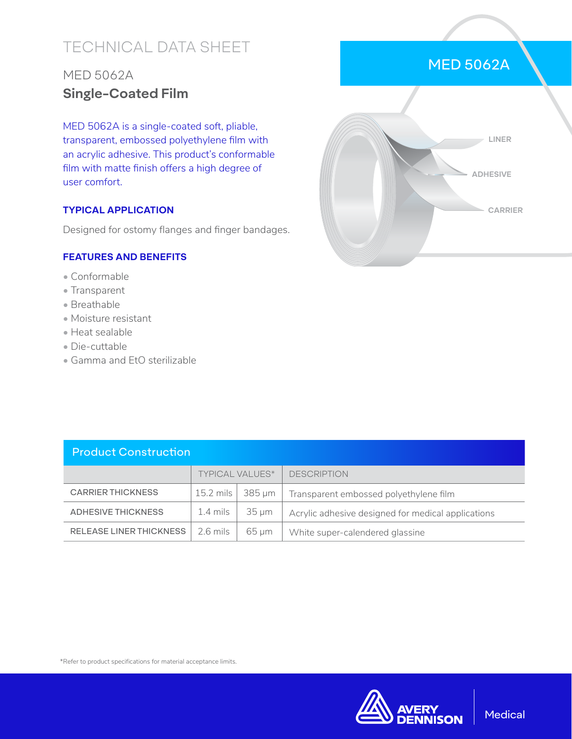# TECHNICAL DATA SHEET

## MED 5062A **Single-Coated Film**

MED 5062A is a single-coated soft, pliable, transparent, embossed polyethylene film with an acrylic adhesive. This product's conformable film with matte finish offers a high degree of user comfort.

### **TYPICAL APPLICATION**

Designed for ostomy flanges and finger bandages.

#### **FEATURES AND BENEFITS**

- Conformable
- Transparent
- Breathable
- Moisture resistant
- Heat sealable
- Die-cuttable
- Gamma and EtO sterilizable

|  | LINER           |
|--|-----------------|
|  | <b>ADHESIVE</b> |
|  | <b>CARRIER</b>  |
|  |                 |

MED 5062A

| <b>Product Construction</b>    |                        |            |                                                    |  |  |  |  |  |
|--------------------------------|------------------------|------------|----------------------------------------------------|--|--|--|--|--|
|                                | <b>TYPICAL VALUES*</b> |            | <b>DESCRIPTION</b>                                 |  |  |  |  |  |
| <b>CARRIER THICKNESS</b>       | $15.2$ mils            | 385 um     | Transparent embossed polyethylene film             |  |  |  |  |  |
| <b>ADHESIVE THICKNESS</b>      | $1.4 \text{ miles}$    | $35 \mu m$ | Acrylic adhesive designed for medical applications |  |  |  |  |  |
| <b>RELEASE LINER THICKNESS</b> | $2.6$ mils             | $65 \mu m$ | White super-calendered glassine                    |  |  |  |  |  |

\*Refer to product specifications for material acceptance limits.